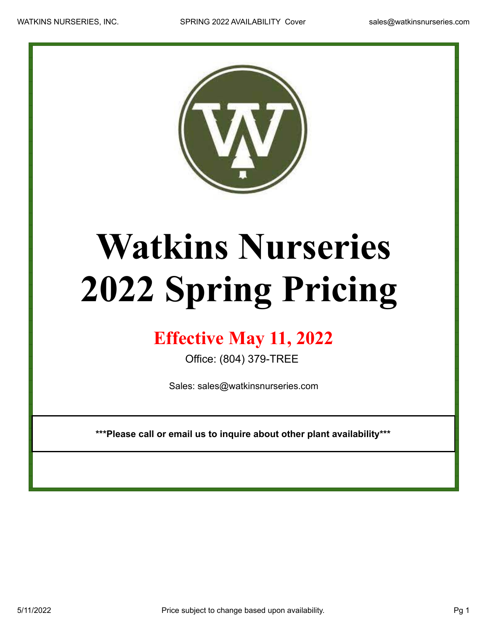

## **Watkins Nurseries 2022 Spring Pricing**

## **Effective May 11, 2022**

Office: (804) 379-TREE

Sales: sales@watkinsnurseries.com

**\*\*\*Please call or email us to inquire about other plant availability\*\*\***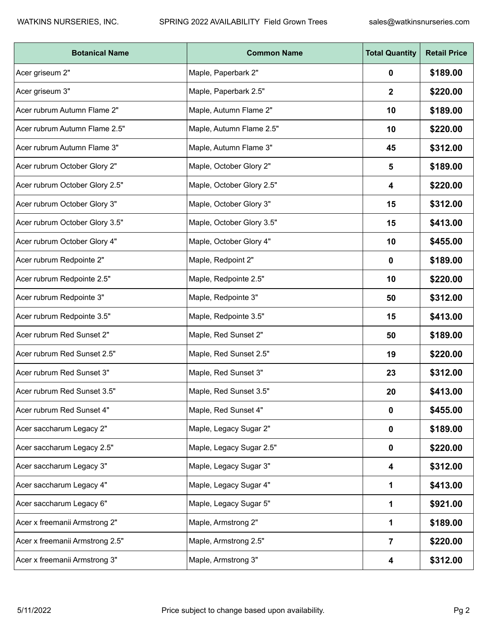| <b>Botanical Name</b>           | <b>Common Name</b>        | <b>Total Quantity</b> | <b>Retail Price</b> |
|---------------------------------|---------------------------|-----------------------|---------------------|
| Acer griseum 2"                 | Maple, Paperbark 2"       | 0                     | \$189.00            |
| Acer griseum 3"                 | Maple, Paperbark 2.5"     | 2                     | \$220.00            |
| Acer rubrum Autumn Flame 2"     | Maple, Autumn Flame 2"    | 10                    | \$189.00            |
| Acer rubrum Autumn Flame 2.5"   | Maple, Autumn Flame 2.5"  | 10                    | \$220.00            |
| Acer rubrum Autumn Flame 3"     | Maple, Autumn Flame 3"    | 45                    | \$312.00            |
| Acer rubrum October Glory 2"    | Maple, October Glory 2"   | 5                     | \$189.00            |
| Acer rubrum October Glory 2.5"  | Maple, October Glory 2.5" | 4                     | \$220.00            |
| Acer rubrum October Glory 3"    | Maple, October Glory 3"   | 15                    | \$312.00            |
| Acer rubrum October Glory 3.5"  | Maple, October Glory 3.5" | 15                    | \$413.00            |
| Acer rubrum October Glory 4"    | Maple, October Glory 4"   | 10                    | \$455.00            |
| Acer rubrum Redpointe 2"        | Maple, Redpoint 2"        | 0                     | \$189.00            |
| Acer rubrum Redpointe 2.5"      | Maple, Redpointe 2.5"     | 10                    | \$220.00            |
| Acer rubrum Redpointe 3"        | Maple, Redpointe 3"       | 50                    | \$312.00            |
| Acer rubrum Redpointe 3.5"      | Maple, Redpointe 3.5"     | 15                    | \$413.00            |
| Acer rubrum Red Sunset 2"       | Maple, Red Sunset 2"      | 50                    | \$189.00            |
| Acer rubrum Red Sunset 2.5"     | Maple, Red Sunset 2.5"    | 19                    | \$220.00            |
| Acer rubrum Red Sunset 3"       | Maple, Red Sunset 3"      | 23                    | \$312.00            |
| Acer rubrum Red Sunset 3.5"     | Maple, Red Sunset 3.5"    | 20                    | \$413.00            |
| Acer rubrum Red Sunset 4"       | Maple, Red Sunset 4"      | 0                     | \$455.00            |
| Acer saccharum Legacy 2"        | Maple, Legacy Sugar 2"    | 0                     | \$189.00            |
| Acer saccharum Legacy 2.5"      | Maple, Legacy Sugar 2.5"  | 0                     | \$220.00            |
| Acer saccharum Legacy 3"        | Maple, Legacy Sugar 3"    | 4                     | \$312.00            |
| Acer saccharum Legacy 4"        | Maple, Legacy Sugar 4"    | 1                     | \$413.00            |
| Acer saccharum Legacy 6"        | Maple, Legacy Sugar 5"    | 1                     | \$921.00            |
| Acer x freemanii Armstrong 2"   | Maple, Armstrong 2"       | 1                     | \$189.00            |
| Acer x freemanii Armstrong 2.5" | Maple, Armstrong 2.5"     | 7                     | \$220.00            |
| Acer x freemanii Armstrong 3"   | Maple, Armstrong 3"       | 4                     | \$312.00            |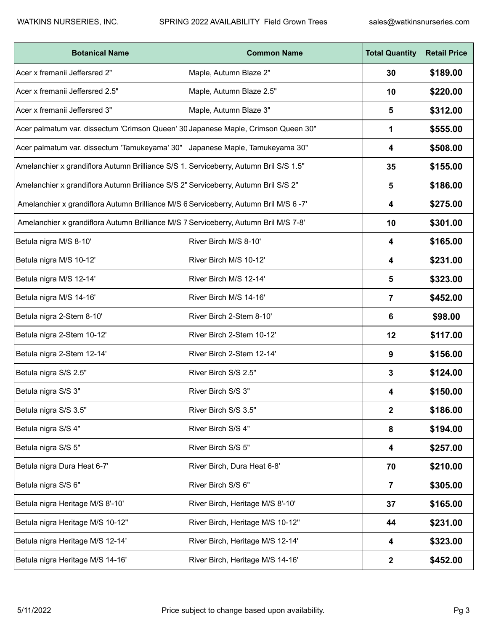| <b>Botanical Name</b>                                                                 | <b>Common Name</b>               | <b>Total Quantity</b> | <b>Retail Price</b> |
|---------------------------------------------------------------------------------------|----------------------------------|-----------------------|---------------------|
| Acer x fremanii Jeffersred 2"                                                         | Maple, Autumn Blaze 2"           | 30                    | \$189.00            |
| Acer x fremanii Jeffersred 2.5"                                                       | Maple, Autumn Blaze 2.5"         | 10                    | \$220.00            |
| Acer x fremanii Jeffersred 3"                                                         | Maple, Autumn Blaze 3"           | 5                     | \$312.00            |
| Acer palmatum var. dissectum 'Crimson Queen' 30 Japanese Maple, Crimson Queen 30"     |                                  | 1                     | \$555.00            |
| Acer palmatum var. dissectum 'Tamukeyama' 30"                                         | Japanese Maple, Tamukeyama 30"   | 4                     | \$508.00            |
| Amelanchier x grandiflora Autumn Brilliance S/S 1. Serviceberry, Autumn Bril S/S 1.5" |                                  | 35                    | \$155.00            |
| Amelanchier x grandiflora Autumn Brilliance S/S 2' Serviceberry, Autumn Bril S/S 2"   |                                  | 5                     | \$186.00            |
| Amelanchier x grandiflora Autumn Brilliance M/S d Serviceberry, Autumn Bril M/S 6 -7' |                                  | 4                     | \$275.00            |
| Amelanchier x grandiflora Autumn Brilliance M/S 7 Serviceberry, Autumn Bril M/S 7-8'  |                                  | 10                    | \$301.00            |
| Betula nigra M/S 8-10'                                                                | River Birch M/S 8-10'            | 4                     | \$165.00            |
| Betula nigra M/S 10-12'                                                               | River Birch M/S 10-12'           | 4                     | \$231.00            |
| Betula nigra M/S 12-14'                                                               | River Birch M/S 12-14'           | 5                     | \$323.00            |
| Betula nigra M/S 14-16'                                                               | River Birch M/S 14-16'           | 7                     | \$452.00            |
| Betula nigra 2-Stem 8-10'                                                             | River Birch 2-Stem 8-10'         | 6                     | \$98.00             |
| Betula nigra 2-Stem 10-12'                                                            | River Birch 2-Stem 10-12'        | 12                    | \$117.00            |
| Betula nigra 2-Stem 12-14'                                                            | River Birch 2-Stem 12-14'        | 9                     | \$156.00            |
| Betula nigra S/S 2.5"                                                                 | River Birch S/S 2.5"             | 3                     | \$124.00            |
| Betula nigra S/S 3"                                                                   | River Birch S/S 3"               | 4                     | \$150.00            |
| Betula nigra S/S 3.5"                                                                 | River Birch S/S 3.5"             | $\mathbf{2}$          | \$186.00            |
| Betula nigra S/S 4"                                                                   | River Birch S/S 4"               | 8                     | \$194.00            |
| Betula nigra S/S 5"                                                                   | River Birch S/S 5"               | 4                     | \$257.00            |
| Betula nigra Dura Heat 6-7'                                                           | River Birch, Dura Heat 6-8'      | 70                    | \$210.00            |
| Betula nigra S/S 6"                                                                   | River Birch S/S 6"               | $\overline{7}$        | \$305.00            |
| Betula nigra Heritage M/S 8'-10'                                                      | River Birch, Heritage M/S 8'-10' | 37                    | \$165.00            |
| Betula nigra Heritage M/S 10-12"                                                      | River Birch, Heritage M/S 10-12" | 44                    | \$231.00            |
| Betula nigra Heritage M/S 12-14'                                                      | River Birch, Heritage M/S 12-14' | 4                     | \$323.00            |
| Betula nigra Heritage M/S 14-16'                                                      | River Birch, Heritage M/S 14-16' | $\boldsymbol{2}$      | \$452.00            |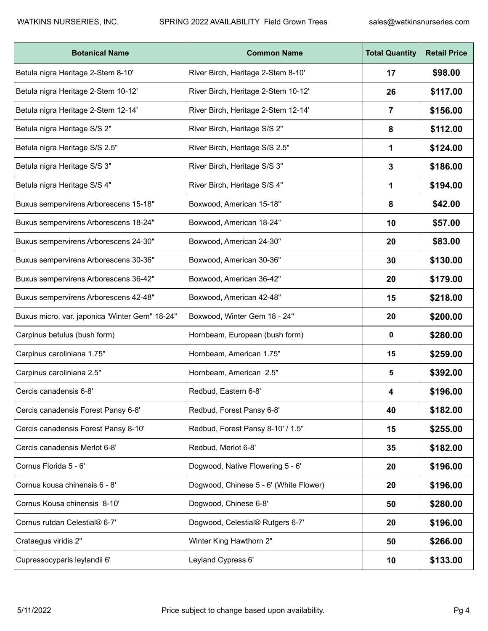| <b>Botanical Name</b>                          | <b>Common Name</b>                     | <b>Total Quantity</b> | <b>Retail Price</b> |
|------------------------------------------------|----------------------------------------|-----------------------|---------------------|
| Betula nigra Heritage 2-Stem 8-10'             | River Birch, Heritage 2-Stem 8-10'     | 17                    | \$98.00             |
| Betula nigra Heritage 2-Stem 10-12'            | River Birch, Heritage 2-Stem 10-12'    | 26                    | \$117.00            |
| Betula nigra Heritage 2-Stem 12-14'            | River Birch, Heritage 2-Stem 12-14'    | 7                     | \$156.00            |
| Betula nigra Heritage S/S 2"                   | River Birch, Heritage S/S 2"           | 8                     | \$112.00            |
| Betula nigra Heritage S/S 2.5"                 | River Birch, Heritage S/S 2.5"         | 1                     | \$124.00            |
| Betula nigra Heritage S/S 3"                   | River Birch, Heritage S/S 3"           | 3                     | \$186.00            |
| Betula nigra Heritage S/S 4"                   | River Birch, Heritage S/S 4"           | 1                     | \$194.00            |
| Buxus sempervirens Arborescens 15-18"          | Boxwood, American 15-18"               | 8                     | \$42.00             |
| Buxus sempervirens Arborescens 18-24"          | Boxwood, American 18-24"               | 10                    | \$57.00             |
| Buxus sempervirens Arborescens 24-30"          | Boxwood, American 24-30"               | 20                    | \$83.00             |
| Buxus sempervirens Arborescens 30-36"          | Boxwood, American 30-36"               | 30                    | \$130.00            |
| Buxus sempervirens Arborescens 36-42"          | Boxwood, American 36-42"               | 20                    | \$179.00            |
| Buxus sempervirens Arborescens 42-48"          | Boxwood, American 42-48"               | 15                    | \$218.00            |
| Buxus micro. var. japonica 'Winter Gem" 18-24" | Boxwood, Winter Gem 18 - 24"           | 20                    | \$200.00            |
| Carpinus betulus (bush form)                   | Hornbeam, European (bush form)         | 0                     | \$280.00            |
| Carpinus caroliniana 1.75"                     | Hornbeam, American 1.75"               | 15                    | \$259.00            |
| Carpinus caroliniana 2.5"                      | Hornbeam, American 2.5"                | 5                     | \$392.00            |
| Cercis canadensis 6-8'                         | Redbud, Eastern 6-8'                   | 4                     | \$196.00            |
| Cercis canadensis Forest Pansy 6-8'            | Redbud, Forest Pansy 6-8'              | 40                    | \$182.00            |
| Cercis canadensis Forest Pansy 8-10'           | Redbud, Forest Pansy 8-10' / 1.5"      | 15                    | \$255.00            |
| Cercis canadensis Merlot 6-8'                  | Redbud, Merlot 6-8'                    | 35                    | \$182.00            |
| Cornus Florida 5 - 6'                          | Dogwood, Native Flowering 5 - 6'       | 20                    | \$196.00            |
| Cornus kousa chinensis 6 - 8'                  | Dogwood, Chinese 5 - 6' (White Flower) | 20                    | \$196.00            |
| Cornus Kousa chinensis 8-10'                   | Dogwood, Chinese 6-8'                  | 50                    | \$280.00            |
| Cornus rutdan Celestial® 6-7'                  | Dogwood, Celestial® Rutgers 6-7'       | 20                    | \$196.00            |
| Crataegus viridis 2"                           | Winter King Hawthorn 2"                | 50                    | \$266.00            |
| Cupressocyparis leylandii 6'                   | Leyland Cypress 6'                     | 10                    | \$133.00            |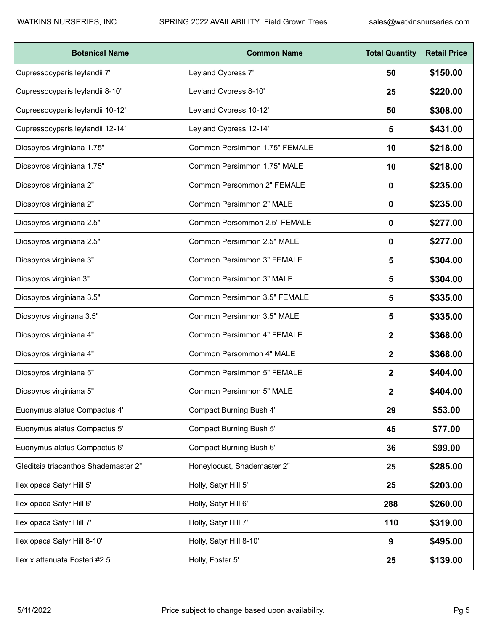| <b>Botanical Name</b>                | <b>Common Name</b>                | <b>Total Quantity</b> | <b>Retail Price</b> |
|--------------------------------------|-----------------------------------|-----------------------|---------------------|
| Cupressocyparis leylandii 7'         | Leyland Cypress 7'                | 50                    | \$150.00            |
| Cupressocyparis leylandii 8-10'      | Leyland Cypress 8-10'             | 25                    | \$220.00            |
| Cupressocyparis leylandii 10-12'     | Leyland Cypress 10-12'            | 50                    | \$308.00            |
| Cupressocyparis leylandii 12-14'     | Leyland Cypress 12-14'            | 5                     | \$431.00            |
| Diospyros virginiana 1.75"           | Common Persimmon 1.75" FEMALE     | 10                    | \$218.00            |
| Diospyros virginiana 1.75"           | Common Persimmon 1.75" MALE       | 10                    | \$218.00            |
| Diospyros virginiana 2"              | Common Persommon 2" FEMALE        | 0                     | \$235.00            |
| Diospyros virginiana 2"              | Common Persimmon 2" MALE          | 0                     | \$235.00            |
| Diospyros virginiana 2.5"            | Common Persommon 2.5" FEMALE      | 0                     | \$277.00            |
| Diospyros virginiana 2.5"            | Common Persimmon 2.5" MALE        | 0                     | \$277.00            |
| Diospyros virginiana 3"              | <b>Common Persimmon 3" FEMALE</b> | 5                     | \$304.00            |
| Diospyros virginian 3"               | Common Persimmon 3" MALE          | 5                     | \$304.00            |
| Diospyros virginiana 3.5"            | Common Persimmon 3.5" FEMALE      | 5                     | \$335.00            |
| Diospyros virginana 3.5"             | Common Persimmon 3.5" MALE        | 5                     | \$335.00            |
| Diospyros virginiana 4"              | Common Persimmon 4" FEMALE        | 2                     | \$368.00            |
| Diospyros virginiana 4"              | Common Persommon 4" MALE          | 2                     | \$368.00            |
| Diospyros virginiana 5"              | Common Persimmon 5" FEMALE        | 2                     | \$404.00            |
| Diospyros virginiana 5"              | Common Persimmon 5" MALE          | 2                     | \$404.00            |
| Euonymus alatus Compactus 4'         | <b>Compact Burning Bush 4'</b>    | 29                    | \$53.00             |
| Euonymus alatus Compactus 5'         | Compact Burning Bush 5'           | 45                    | \$77.00             |
| Euonymus alatus Compactus 6'         | Compact Burning Bush 6'           | 36                    | \$99.00             |
| Gleditsia triacanthos Shademaster 2" | Honeylocust, Shademaster 2"       | 25                    | \$285.00            |
| Ilex opaca Satyr Hill 5'             | Holly, Satyr Hill 5'              | 25                    | \$203.00            |
| llex opaca Satyr Hill 6'             | Holly, Satyr Hill 6'              | 288                   | \$260.00            |
| llex opaca Satyr Hill 7'             | Holly, Satyr Hill 7'              | 110                   | \$319.00            |
| llex opaca Satyr Hill 8-10'          | Holly, Satyr Hill 8-10'           | 9                     | \$495.00            |
| Ilex x attenuata Fosteri #2 5'       | Holly, Foster 5'                  | 25                    | \$139.00            |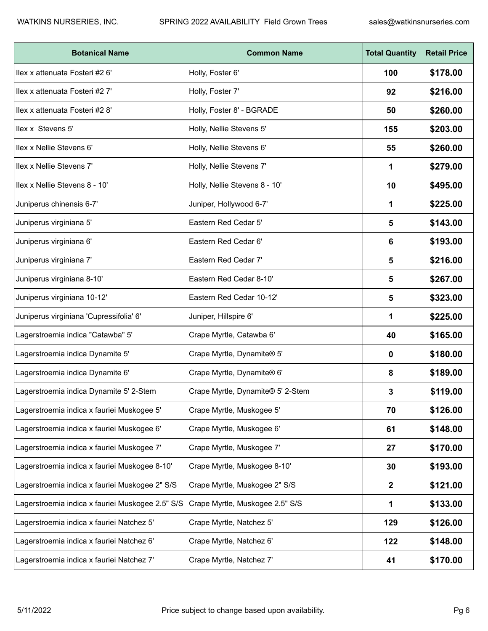| <b>Botanical Name</b>                            | <b>Common Name</b>                | <b>Total Quantity</b> | <b>Retail Price</b> |
|--------------------------------------------------|-----------------------------------|-----------------------|---------------------|
| Ilex x attenuata Fosteri #2 6'                   | Holly, Foster 6'                  | 100                   | \$178.00            |
| llex x attenuata Fosteri #2 7'                   | Holly, Foster 7'                  | 92                    | \$216.00            |
| Ilex x attenuata Fosteri #2 8'                   | Holly, Foster 8' - BGRADE         | 50                    | \$260.00            |
| Ilex x Stevens 5'                                | Holly, Nellie Stevens 5'          | 155                   | \$203.00            |
| Ilex x Nellie Stevens 6'                         | Holly, Nellie Stevens 6'          | 55                    | \$260.00            |
| Ilex x Nellie Stevens 7'                         | Holly, Nellie Stevens 7'          | 1                     | \$279.00            |
| Ilex x Nellie Stevens 8 - 10'                    | Holly, Nellie Stevens 8 - 10'     | 10                    | \$495.00            |
| Juniperus chinensis 6-7'                         | Juniper, Hollywood 6-7'           | 1                     | \$225.00            |
| Juniperus virginiana 5'                          | Eastern Red Cedar 5'              | 5                     | \$143.00            |
| Juniperus virginiana 6'                          | Eastern Red Cedar 6'              | 6                     | \$193.00            |
| Juniperus virginiana 7'                          | Eastern Red Cedar 7'              | 5                     | \$216.00            |
| Juniperus virginiana 8-10'                       | Eastern Red Cedar 8-10'           | 5                     | \$267.00            |
| Juniperus virginiana 10-12'                      | Eastern Red Cedar 10-12'          | 5                     | \$323.00            |
| Juniperus virginiana 'Cupressifolia' 6'          | Juniper, Hillspire 6'             | 1                     | \$225.00            |
| Lagerstroemia indica "Catawba" 5'                | Crape Myrtle, Catawba 6'          | 40                    | \$165.00            |
| Lagerstroemia indica Dynamite 5'                 | Crape Myrtle, Dynamite® 5'        | 0                     | \$180.00            |
| Lagerstroemia indica Dynamite 6'                 | Crape Myrtle, Dynamite® 6'        | 8                     | \$189.00            |
| Lagerstroemia indica Dynamite 5' 2-Stem          | Crape Myrtle, Dynamite® 5' 2-Stem | 3                     | \$119.00            |
| Lagerstroemia indica x fauriei Muskogee 5'       | Crape Myrtle, Muskogee 5'         | 70                    | \$126.00            |
| Lagerstroemia indica x fauriei Muskogee 6'       | Crape Myrtle, Muskogee 6'         | 61                    | \$148.00            |
| Lagerstroemia indica x fauriei Muskogee 7'       | Crape Myrtle, Muskogee 7'         | 27                    | \$170.00            |
| Lagerstroemia indica x fauriei Muskogee 8-10'    | Crape Myrtle, Muskogee 8-10'      | 30                    | \$193.00            |
| Lagerstroemia indica x fauriei Muskogee 2" S/S   | Crape Myrtle, Muskogee 2" S/S     | $\mathbf{2}$          | \$121.00            |
| Lagerstroemia indica x fauriei Muskogee 2.5" S/S | Crape Myrtle, Muskogee 2.5" S/S   | 1                     | \$133.00            |
| Lagerstroemia indica x fauriei Natchez 5'        | Crape Myrtle, Natchez 5'          | 129                   | \$126.00            |
| Lagerstroemia indica x fauriei Natchez 6'        | Crape Myrtle, Natchez 6'          | 122                   | \$148.00            |
| Lagerstroemia indica x fauriei Natchez 7'        | Crape Myrtle, Natchez 7'          | 41                    | \$170.00            |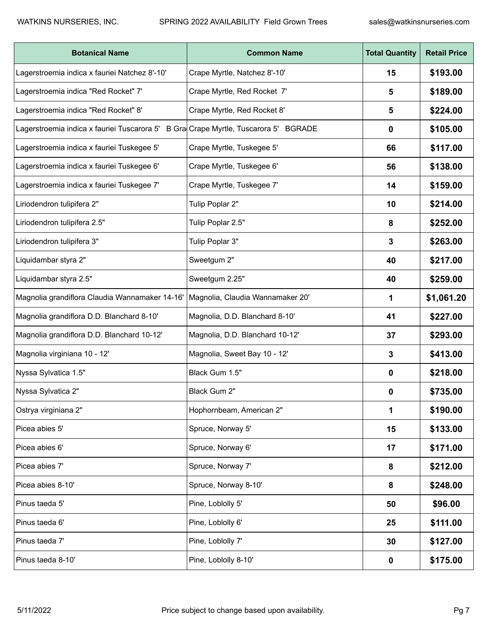| <b>Botanical Name</b>                                                               | <b>Common Name</b>               | <b>Total Quantity</b> | <b>Retail Price</b> |
|-------------------------------------------------------------------------------------|----------------------------------|-----------------------|---------------------|
| Lagerstroemia indica x fauriei Natchez 8'-10'                                       | Crape Myrtle, Natchez 8'-10'     | 15                    | \$193.00            |
| Lagerstroemia indica "Red Rocket" 7'                                                | Crape Myrtle, Red Rocket 7'      | 5                     | \$189.00            |
| Lagerstroemia indica "Red Rocket" 8'                                                | Crape Myrtle, Red Rocket 8'      | 5                     | \$224.00            |
| Lagerstroemia indica x fauriei Tuscarora 5' B Gra Crape Myrtle, Tuscarora 5' BGRADE |                                  | 0                     | \$105.00            |
| Lagerstroemia indica x fauriei Tuskegee 5'                                          | Crape Myrtle, Tuskegee 5'        | 66                    | \$117.00            |
| Lagerstroemia indica x fauriei Tuskegee 6'                                          | Crape Myrtle, Tuskegee 6'        | 56                    | \$138.00            |
| Lagerstroemia indica x fauriei Tuskegee 7'                                          | Crape Myrtle, Tuskegee 7'        | 14                    | \$159.00            |
| Liriodendron tulipifera 2"                                                          | Tulip Poplar 2"                  | 10                    | \$214.00            |
| Liriodendron tulipifera 2.5"                                                        | Tulip Poplar 2.5"                | 8                     | \$252.00            |
| Liriodendron tulipifera 3"                                                          | Tulip Poplar 3"                  | 3                     | \$263.00            |
| Liquidambar styra 2"                                                                | Sweetgum 2"                      | 40                    | \$217.00            |
| Liquidambar styra 2.5"                                                              | Sweetgum 2.25"                   | 40                    | \$259.00            |
| Magnolia grandiflora Claudia Wannamaker 14-16'                                      | Magnolia, Claudia Wannamaker 20' | 1                     | \$1,061.20          |
| Magnolia grandiflora D.D. Blanchard 8-10'                                           | Magnolia, D.D. Blanchard 8-10'   | 41                    | \$227.00            |
| Magnolia grandiflora D.D. Blanchard 10-12'                                          | Magnolia, D.D. Blanchard 10-12'  | 37                    | \$293.00            |
| Magnolia virginiana 10 - 12'                                                        | Magnolia, Sweet Bay 10 - 12'     | 3                     | \$413.00            |
| Nyssa Sylvatica 1.5"                                                                | Black Gum 1.5"                   | 0                     | \$218.00            |
| Nyssa Sylvatica 2"                                                                  | Black Gum 2"                     | 0                     | \$735.00            |
| Ostrya virginiana 2"                                                                | Hophornbeam, American 2"         | 1                     | \$190.00            |
| Picea abies 5'                                                                      | Spruce, Norway 5'                | 15                    | \$133.00            |
| Picea abies 6'                                                                      | Spruce, Norway 6'                | 17                    | \$171.00            |
| Picea abies 7'                                                                      | Spruce, Norway 7'                | 8                     | \$212.00            |
| Picea abies 8-10'                                                                   | Spruce, Norway 8-10'             | 8                     | \$248.00            |
| Pinus taeda 5'                                                                      | Pine, Loblolly 5'                | 50                    | \$96.00             |
| Pinus taeda 6'                                                                      | Pine, Loblolly 6'                | 25                    | \$111.00            |
| Pinus taeda 7'                                                                      | Pine, Loblolly 7'                | 30                    | \$127.00            |
| Pinus taeda 8-10'                                                                   | Pine, Loblolly 8-10'             | 0                     | \$175.00            |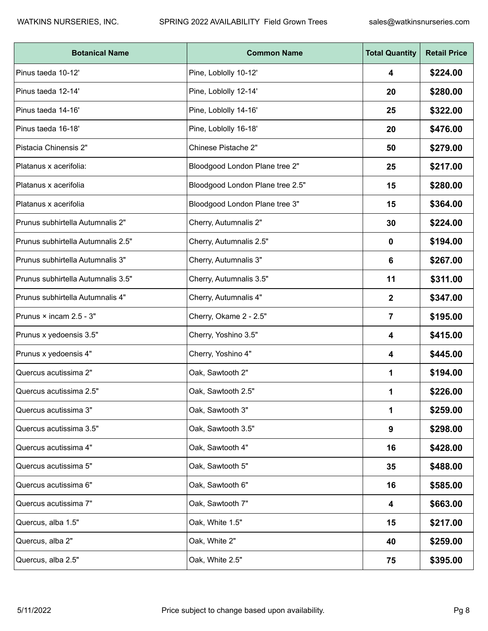| <b>Botanical Name</b>              | <b>Common Name</b>               | <b>Total Quantity</b> | <b>Retail Price</b> |
|------------------------------------|----------------------------------|-----------------------|---------------------|
| Pinus taeda 10-12'                 | Pine, Loblolly 10-12'            | 4                     | \$224.00            |
| Pinus taeda 12-14'                 | Pine, Loblolly 12-14'            | 20                    | \$280.00            |
| Pinus taeda 14-16'                 | Pine, Loblolly 14-16'            | 25                    | \$322.00            |
| Pinus taeda 16-18'                 | Pine, Loblolly 16-18'            | 20                    | \$476.00            |
| Pistacia Chinensis 2"              | Chinese Pistache 2"              | 50                    | \$279.00            |
| Platanus x acerifolia:             | Bloodgood London Plane tree 2"   | 25                    | \$217.00            |
| Platanus x acerifolia              | Bloodgood London Plane tree 2.5" | 15                    | \$280.00            |
| Platanus x acerifolia              | Bloodgood London Plane tree 3"   | 15                    | \$364.00            |
| Prunus subhirtella Autumnalis 2"   | Cherry, Autumnalis 2"            | 30                    | \$224.00            |
| Prunus subhirtella Autumnalis 2.5" | Cherry, Autumnalis 2.5"          | 0                     | \$194.00            |
| Prunus subhirtella Autumnalis 3"   | Cherry, Autumnalis 3"            | 6                     | \$267.00            |
| Prunus subhirtella Autumnalis 3.5" | Cherry, Autumnalis 3.5"          | 11                    | \$311.00            |
| Prunus subhirtella Autumnalis 4"   | Cherry, Autumnalis 4"            | $\mathbf 2$           | \$347.00            |
| Prunus × incam 2.5 - 3"            | Cherry, Okame 2 - 2.5"           | 7                     | \$195.00            |
| Prunus x yedoensis 3.5"            | Cherry, Yoshino 3.5"             | 4                     | \$415.00            |
| Prunus x yedoensis 4"              | Cherry, Yoshino 4"               | 4                     | \$445.00            |
| Quercus acutissima 2"              | Oak, Sawtooth 2"                 | 1                     | \$194.00            |
| Quercus acutissima 2.5"            | Oak, Sawtooth 2.5"               | 1                     | \$226.00            |
| Quercus acutissima 3"              | Oak, Sawtooth 3"                 | 1                     | \$259.00            |
| Quercus acutissima 3.5"            | Oak, Sawtooth 3.5"               | 9                     | \$298.00            |
| Quercus acutissima 4"              | Oak, Sawtooth 4"                 | 16                    | \$428.00            |
| Quercus acutissima 5"              | Oak, Sawtooth 5"                 | 35                    | \$488.00            |
| Quercus acutissima 6"              | Oak, Sawtooth 6"                 | 16                    | \$585.00            |
| Quercus acutissima 7"              | Oak, Sawtooth 7"                 | 4                     | \$663.00            |
| Quercus, alba 1.5"                 | Oak, White 1.5"                  | 15                    | \$217.00            |
| Quercus, alba 2"                   | Oak, White 2"                    | 40                    | \$259.00            |
| Quercus, alba 2.5"                 | Oak, White 2.5"                  | 75                    | \$395.00            |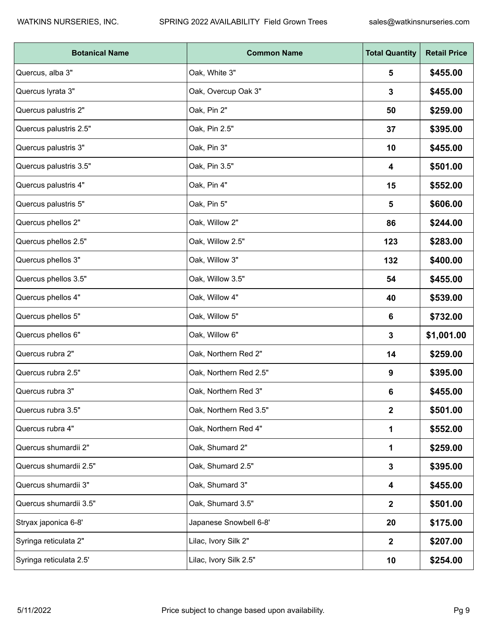| <b>Botanical Name</b>   | <b>Common Name</b>     | <b>Total Quantity</b> | <b>Retail Price</b> |
|-------------------------|------------------------|-----------------------|---------------------|
| Quercus, alba 3"        | Oak, White 3"          | 5                     | \$455.00            |
| Quercus lyrata 3"       | Oak, Overcup Oak 3"    | 3                     | \$455.00            |
| Quercus palustris 2"    | Oak, Pin 2"            | 50                    | \$259.00            |
| Quercus palustris 2.5"  | Oak, Pin 2.5"          | 37                    | \$395.00            |
| Quercus palustris 3"    | Oak, Pin 3"            | 10                    | \$455.00            |
| Quercus palustris 3.5"  | Oak, Pin 3.5"          | 4                     | \$501.00            |
| Quercus palustris 4"    | Oak, Pin 4"            | 15                    | \$552.00            |
| Quercus palustris 5"    | Oak, Pin 5"            | 5                     | \$606.00            |
| Quercus phellos 2"      | Oak, Willow 2"         | 86                    | \$244.00            |
| Quercus phellos 2.5"    | Oak, Willow 2.5"       | 123                   | \$283.00            |
| Quercus phellos 3"      | Oak, Willow 3"         | 132                   | \$400.00            |
| Quercus phellos 3.5"    | Oak, Willow 3.5"       | 54                    | \$455.00            |
| Quercus phellos 4"      | Oak, Willow 4"         | 40                    | \$539.00            |
| Quercus phellos 5"      | Oak, Willow 5"         | 6                     | \$732.00            |
| Quercus phellos 6"      | Oak, Willow 6"         | 3                     | \$1,001.00          |
| Quercus rubra 2"        | Oak, Northern Red 2"   | 14                    | \$259.00            |
| Quercus rubra 2.5"      | Oak, Northern Red 2.5" | 9                     | \$395.00            |
| Quercus rubra 3"        | Oak, Northern Red 3"   | 6                     | \$455.00            |
| Quercus rubra 3.5"      | Oak, Northern Red 3.5" | $\mathbf{2}$          | \$501.00            |
| Quercus rubra 4"        | Oak, Northern Red 4"   | 1                     | \$552.00            |
| Quercus shumardii 2"    | Oak, Shumard 2"        | 1                     | \$259.00            |
| Quercus shumardii 2.5"  | Oak, Shumard 2.5"      | 3                     | \$395.00            |
| Quercus shumardii 3"    | Oak, Shumard 3"        | 4                     | \$455.00            |
| Quercus shumardii 3.5"  | Oak, Shumard 3.5"      | $\mathbf{2}$          | \$501.00            |
| Stryax japonica 6-8'    | Japanese Snowbell 6-8' | 20                    | \$175.00            |
| Syringa reticulata 2"   | Lilac, Ivory Silk 2"   | $\mathbf{2}$          | \$207.00            |
| Syringa reticulata 2.5' | Lilac, Ivory Silk 2.5" | 10                    | \$254.00            |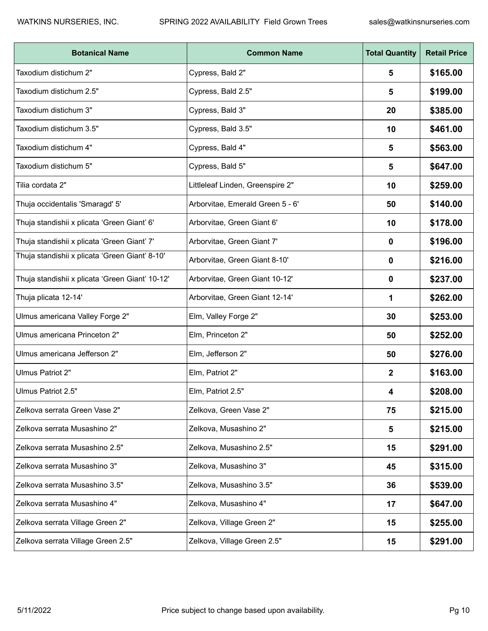| <b>Botanical Name</b>                           | <b>Common Name</b>               | <b>Total Quantity</b> | <b>Retail Price</b> |
|-------------------------------------------------|----------------------------------|-----------------------|---------------------|
| Taxodium distichum 2"                           | Cypress, Bald 2"                 | 5                     | \$165.00            |
| Taxodium distichum 2.5"                         | Cypress, Bald 2.5"               | 5                     | \$199.00            |
| Taxodium distichum 3"                           | Cypress, Bald 3"                 | 20                    | \$385.00            |
| Taxodium distichum 3.5"                         | Cypress, Bald 3.5"               | 10                    | \$461.00            |
| Taxodium distichum 4"                           | Cypress, Bald 4"                 | 5                     | \$563.00            |
| Taxodium distichum 5"                           | Cypress, Bald 5"                 | 5                     | \$647.00            |
| Tilia cordata 2"                                | Littleleaf Linden, Greenspire 2" | 10                    | \$259.00            |
| Thuja occidentalis 'Smaragd' 5'                 | Arborvitae, Emerald Green 5 - 6' | 50                    | \$140.00            |
| Thuja standishii x plicata 'Green Giant' 6'     | Arborvitae, Green Giant 6'       | 10                    | \$178.00            |
| Thuja standishii x plicata 'Green Giant' 7'     | Arborvitae, Green Giant 7'       | 0                     | \$196.00            |
| Thuja standishii x plicata 'Green Giant' 8-10'  | Arborvitae, Green Giant 8-10'    | 0                     | \$216.00            |
| Thuja standishii x plicata 'Green Giant' 10-12' | Arborvitae, Green Giant 10-12'   | 0                     | \$237.00            |
| Thuja plicata 12-14'                            | Arborvitae, Green Giant 12-14'   | 1                     | \$262.00            |
| Ulmus americana Valley Forge 2"                 | Elm, Valley Forge 2"             | 30                    | \$253.00            |
| Ulmus americana Princeton 2"                    | Elm, Princeton 2"                | 50                    | \$252.00            |
| Ulmus americana Jefferson 2"                    | Elm, Jefferson 2"                | 50                    | \$276.00            |
| Ulmus Patriot 2"                                | Elm, Patriot 2"                  | $\mathbf 2$           | \$163.00            |
| Ulmus Patriot 2.5"                              | Elm, Patriot 2.5"                | 4                     | \$208.00            |
| Zelkova serrata Green Vase 2"                   | Zelkova, Green Vase 2"           | 75                    | \$215.00            |
| Zelkova serrata Musashino 2"                    | Zelkova, Musashino 2"            | 5                     | \$215.00            |
| Zelkova serrata Musashino 2.5"                  | Zelkova, Musashino 2.5"          | 15                    | \$291.00            |
| Zelkova serrata Musashino 3"                    | Zelkova, Musashino 3"            | 45                    | \$315.00            |
| Zelkova serrata Musashino 3.5"                  | Zelkova, Musashino 3.5"          | 36                    | \$539.00            |
| Zelkova serrata Musashino 4"                    | Zelkova, Musashino 4"            | 17                    | \$647.00            |
| Zelkova serrata Village Green 2"                | Zelkova, Village Green 2"        | 15                    | \$255.00            |
| Zelkova serrata Village Green 2.5"              | Zelkova, Village Green 2.5"      | 15                    | \$291.00            |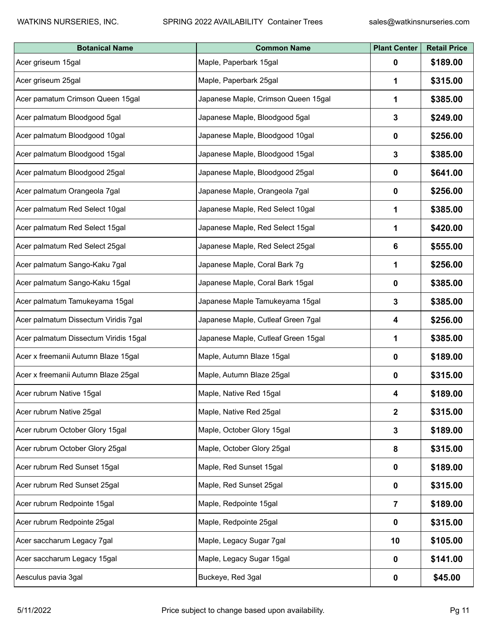| <b>Botanical Name</b>                 | <b>Common Name</b>                  | <b>Plant Center</b> | <b>Retail Price</b> |
|---------------------------------------|-------------------------------------|---------------------|---------------------|
| Acer griseum 15gal                    | Maple, Paperbark 15gal              | $\mathbf{0}$        | \$189.00            |
| Acer griseum 25gal                    | Maple, Paperbark 25gal              | 1                   | \$315.00            |
| Acer pamatum Crimson Queen 15gal      | Japanese Maple, Crimson Queen 15gal | 1                   | \$385.00            |
| Acer palmatum Bloodgood 5gal          | Japanese Maple, Bloodgood 5gal      | $\mathbf{3}$        | \$249.00            |
| Acer palmatum Bloodgood 10gal         | Japanese Maple, Bloodgood 10gal     | 0                   | \$256.00            |
| Acer palmatum Bloodgood 15gal         | Japanese Maple, Bloodgood 15gal     | 3                   | \$385.00            |
| Acer palmatum Bloodgood 25gal         | Japanese Maple, Bloodgood 25gal     | $\mathbf{0}$        | \$641.00            |
| Acer palmatum Orangeola 7gal          | Japanese Maple, Orangeola 7gal      | $\mathbf{0}$        | \$256.00            |
| Acer palmatum Red Select 10gal        | Japanese Maple, Red Select 10gal    | 1                   | \$385.00            |
| Acer palmatum Red Select 15gal        | Japanese Maple, Red Select 15gal    | 1                   | \$420.00            |
| Acer palmatum Red Select 25gal        | Japanese Maple, Red Select 25gal    | 6                   | \$555.00            |
| Acer palmatum Sango-Kaku 7gal         | Japanese Maple, Coral Bark 7g       | 1                   | \$256.00            |
| Acer palmatum Sango-Kaku 15gal        | Japanese Maple, Coral Bark 15gal    | $\mathbf{0}$        | \$385.00            |
| Acer palmatum Tamukeyama 15gal        | Japanese Maple Tamukeyama 15gal     | 3                   | \$385.00            |
| Acer palmatum Dissectum Viridis 7gal  | Japanese Maple, Cutleaf Green 7gal  | 4                   | \$256.00            |
| Acer palmatum Dissectum Viridis 15gal | Japanese Maple, Cutleaf Green 15gal | 1                   | \$385.00            |
| Acer x freemanii Autumn Blaze 15gal   | Maple, Autumn Blaze 15gal           | $\mathbf 0$         | \$189.00            |
| Acer x freemanii Autumn Blaze 25gal   | Maple, Autumn Blaze 25gal           | $\mathbf 0$         | \$315.00            |
| Acer rubrum Native 15gal              | Maple, Native Red 15gal             | 4                   | \$189.00            |
| Acer rubrum Native 25gal              | Maple, Native Red 25gal             | $\mathbf{2}$        | \$315.00            |
| Acer rubrum October Glory 15gal       | Maple, October Glory 15gal          | 3                   | \$189.00            |
| Acer rubrum October Glory 25gal       | Maple, October Glory 25gal          | 8                   | \$315.00            |
| Acer rubrum Red Sunset 15gal          | Maple, Red Sunset 15gal             | $\mathbf 0$         | \$189.00            |
| Acer rubrum Red Sunset 25gal          | Maple, Red Sunset 25gal             | $\mathbf 0$         | \$315.00            |
| Acer rubrum Redpointe 15gal           | Maple, Redpointe 15gal              | $\overline{7}$      | \$189.00            |
| Acer rubrum Redpointe 25gal           | Maple, Redpointe 25gal              | $\mathbf 0$         | \$315.00            |
| Acer saccharum Legacy 7gal            | Maple, Legacy Sugar 7gal            | 10                  | \$105.00            |
| Acer saccharum Legacy 15gal           | Maple, Legacy Sugar 15gal           | $\mathbf{0}$        | \$141.00            |
| Aesculus pavia 3gal                   | Buckeye, Red 3gal                   | $\pmb{0}$           | \$45.00             |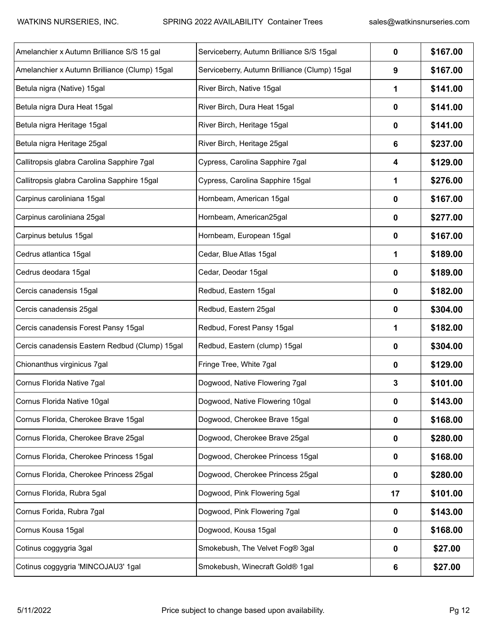| Amelanchier x Autumn Brilliance S/S 15 gal     | Serviceberry, Autumn Brilliance S/S 15gal     | 0           | \$167.00 |
|------------------------------------------------|-----------------------------------------------|-------------|----------|
| Amelanchier x Autumn Brilliance (Clump) 15gal  | Serviceberry, Autumn Brilliance (Clump) 15gal | 9           | \$167.00 |
| Betula nigra (Native) 15gal                    | River Birch, Native 15gal                     | 1           | \$141.00 |
| Betula nigra Dura Heat 15gal                   | River Birch, Dura Heat 15gal                  | 0           | \$141.00 |
| Betula nigra Heritage 15gal                    | River Birch, Heritage 15gal                   | 0           | \$141.00 |
| Betula nigra Heritage 25gal                    | River Birch, Heritage 25gal                   | 6           | \$237.00 |
| Callitropsis glabra Carolina Sapphire 7gal     | Cypress, Carolina Sapphire 7gal               | 4           | \$129.00 |
| Callitropsis glabra Carolina Sapphire 15gal    | Cypress, Carolina Sapphire 15gal              | 1           | \$276.00 |
| Carpinus caroliniana 15gal                     | Hornbeam, American 15gal                      | 0           | \$167.00 |
| Carpinus caroliniana 25gal                     | Hornbeam, American25gal                       | 0           | \$277.00 |
| Carpinus betulus 15gal                         | Hornbeam, European 15gal                      | 0           | \$167.00 |
| Cedrus atlantica 15gal                         | Cedar, Blue Atlas 15gal                       | 1           | \$189.00 |
| Cedrus deodara 15gal                           | Cedar, Deodar 15gal                           | 0           | \$189.00 |
| Cercis canadensis 15gal                        | Redbud, Eastern 15gal                         | 0           | \$182.00 |
| Cercis canadensis 25gal                        | Redbud, Eastern 25gal                         | 0           | \$304.00 |
| Cercis canadensis Forest Pansy 15gal           | Redbud, Forest Pansy 15gal                    | 1           | \$182.00 |
| Cercis canadensis Eastern Redbud (Clump) 15gal | Redbud, Eastern (clump) 15gal                 | 0           | \$304.00 |
| Chionanthus virginicus 7gal                    | Fringe Tree, White 7gal                       | 0           | \$129.00 |
| Cornus Florida Native 7gal                     | Dogwood, Native Flowering 7gal                | 3           | \$101.00 |
| Cornus Florida Native 10gal                    | Dogwood, Native Flowering 10gal               | 0           | \$143.00 |
| Cornus Florida, Cherokee Brave 15gal           | Dogwood, Cherokee Brave 15gal                 | 0           | \$168.00 |
| Cornus Florida, Cherokee Brave 25gal           | Dogwood, Cherokee Brave 25gal                 | 0           | \$280.00 |
| Cornus Florida, Cherokee Princess 15gal        | Dogwood, Cherokee Princess 15gal              | 0           | \$168.00 |
| Cornus Florida, Cherokee Princess 25gal        | Dogwood, Cherokee Princess 25gal              | 0           | \$280.00 |
| Cornus Florida, Rubra 5gal                     | Dogwood, Pink Flowering 5gal                  | 17          | \$101.00 |
| Cornus Forida, Rubra 7gal                      | Dogwood, Pink Flowering 7gal                  | $\mathbf 0$ | \$143.00 |
| Cornus Kousa 15gal                             | Dogwood, Kousa 15gal                          | 0           | \$168.00 |
| Cotinus coggygria 3gal                         | Smokebush, The Velvet Fog® 3gal               | 0           | \$27.00  |
| Cotinus coggygria 'MINCOJAU3' 1gal             | Smokebush, Winecraft Gold® 1gal               | 6           | \$27.00  |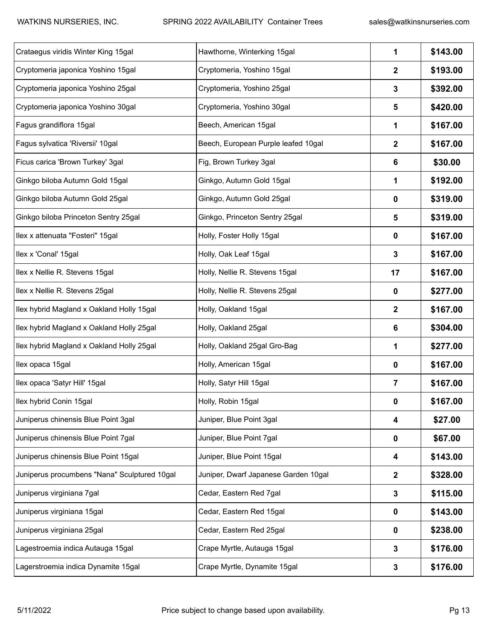| Crataegus viridis Winter King 15gal          | Hawthorne, Winterking 15gal          | 1                | \$143.00 |
|----------------------------------------------|--------------------------------------|------------------|----------|
| Cryptomeria japonica Yoshino 15gal           | Cryptomeria, Yoshino 15gal           | $\boldsymbol{2}$ | \$193.00 |
| Cryptomeria japonica Yoshino 25gal           | Cryptomeria, Yoshino 25gal           | 3                | \$392.00 |
| Cryptomeria japonica Yoshino 30gal           | Cryptomeria, Yoshino 30gal           | 5                | \$420.00 |
| Fagus grandiflora 15gal                      | Beech, American 15gal                | 1                | \$167.00 |
| Fagus sylvatica 'Riversii' 10gal             | Beech, European Purple leafed 10gal  | $\mathbf{2}$     | \$167.00 |
| Ficus carica 'Brown Turkey' 3gal             | Fig, Brown Turkey 3gal               | 6                | \$30.00  |
| Ginkgo biloba Autumn Gold 15gal              | Ginkgo, Autumn Gold 15gal            | 1                | \$192.00 |
| Ginkgo biloba Autumn Gold 25gal              | Ginkgo, Autumn Gold 25gal            | 0                | \$319.00 |
| Ginkgo biloba Princeton Sentry 25gal         | Ginkgo, Princeton Sentry 25gal       | 5                | \$319.00 |
| Ilex x attenuata "Fosteri" 15gal             | Holly, Foster Holly 15gal            | $\mathbf 0$      | \$167.00 |
| Ilex x 'Conal' 15gal                         | Holly, Oak Leaf 15gal                | 3                | \$167.00 |
| Ilex x Nellie R. Stevens 15gal               | Holly, Nellie R. Stevens 15gal       | 17               | \$167.00 |
| Ilex x Nellie R. Stevens 25gal               | Holly, Nellie R. Stevens 25gal       | $\mathbf 0$      | \$277.00 |
| Ilex hybrid Magland x Oakland Holly 15gal    | Holly, Oakland 15gal                 | $\mathbf{2}$     | \$167.00 |
| Ilex hybrid Magland x Oakland Holly 25gal    | Holly, Oakland 25gal                 | 6                | \$304.00 |
| Ilex hybrid Magland x Oakland Holly 25gal    | Holly, Oakland 25gal Gro-Bag         | 1                | \$277.00 |
| Ilex opaca 15gal                             | Holly, American 15gal                | 0                | \$167.00 |
| Ilex opaca 'Satyr Hill' 15gal                | Holly, Satyr Hill 15gal              | 7                | \$167.00 |
| Ilex hybrid Conin 15gal                      | Holly, Robin 15gal                   | 0                | \$167.00 |
| Juniperus chinensis Blue Point 3gal          | Juniper, Blue Point 3gal             | 4                | \$27.00  |
| Juniperus chinensis Blue Point 7gal          | Juniper, Blue Point 7gal             | $\mathbf 0$      | \$67.00  |
| Juniperus chinensis Blue Point 15gal         | Juniper, Blue Point 15gal            | 4                | \$143.00 |
| Juniperus procumbens "Nana" Sculptured 10gal | Juniper, Dwarf Japanese Garden 10gal | $\mathbf{2}$     | \$328.00 |
| Juniperus virginiana 7gal                    | Cedar, Eastern Red 7gal              | 3                | \$115.00 |
| Juniperus virginiana 15gal                   | Cedar, Eastern Red 15gal             | 0                | \$143.00 |
| Juniperus virginiana 25gal                   | Cedar, Eastern Red 25gal             | $\mathbf 0$      | \$238.00 |
| Lagestroemia indica Autauga 15gal            | Crape Myrtle, Autauga 15gal          | $\mathbf{3}$     | \$176.00 |
| Lagerstroemia indica Dynamite 15gal          | Crape Myrtle, Dynamite 15gal         | 3                | \$176.00 |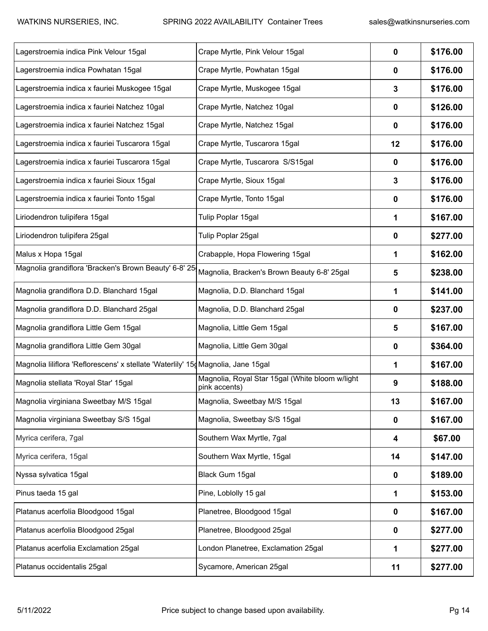| Lagerstroemia indica Pink Velour 15gal                                            | Crape Myrtle, Pink Velour 15gal                                  | 0           | \$176.00 |
|-----------------------------------------------------------------------------------|------------------------------------------------------------------|-------------|----------|
| Lagerstroemia indica Powhatan 15gal                                               | Crape Myrtle, Powhatan 15gal                                     | 0           | \$176.00 |
| Lagerstroemia indica x fauriei Muskogee 15gal                                     | Crape Myrtle, Muskogee 15gal                                     | 3           | \$176.00 |
| Lagerstroemia indica x fauriei Natchez 10gal                                      | Crape Myrtle, Natchez 10gal                                      | 0           | \$126.00 |
| Lagerstroemia indica x fauriei Natchez 15gal                                      | Crape Myrtle, Natchez 15gal                                      | 0           | \$176.00 |
| Lagerstroemia indica x fauriei Tuscarora 15gal                                    | Crape Myrtle, Tuscarora 15gal                                    | 12          | \$176.00 |
| Lagerstroemia indica x fauriei Tuscarora 15gal                                    | Crape Myrtle, Tuscarora S/S15gal                                 | 0           | \$176.00 |
| Lagerstroemia indica x fauriei Sioux 15gal                                        | Crape Myrtle, Sioux 15gal                                        | 3           | \$176.00 |
| Lagerstroemia indica x fauriei Tonto 15gal                                        | Crape Myrtle, Tonto 15gal                                        | 0           | \$176.00 |
| Liriodendron tulipifera 15gal                                                     | Tulip Poplar 15gal                                               | 1           | \$167.00 |
| Liriodendron tulipifera 25gal                                                     | Tulip Poplar 25gal                                               | 0           | \$277.00 |
| Malus x Hopa 15gal                                                                | Crabapple, Hopa Flowering 15gal                                  | 1           | \$162.00 |
| Magnolia grandiflora 'Bracken's Brown Beauty' 6-8' 25                             | Magnolia, Bracken's Brown Beauty 6-8' 25gal                      | 5           | \$238.00 |
| Magnolia grandiflora D.D. Blanchard 15gal                                         | Magnolia, D.D. Blanchard 15gal                                   | 1           | \$141.00 |
| Magnolia grandiflora D.D. Blanchard 25gal                                         | Magnolia, D.D. Blanchard 25gal                                   | 0           | \$237.00 |
| Magnolia grandiflora Little Gem 15gal                                             | Magnolia, Little Gem 15gal                                       | 5           | \$167.00 |
| Magnolia grandiflora Little Gem 30gal                                             | Magnolia, Little Gem 30gal                                       | 0           | \$364.00 |
| Magnolia liliflora 'Reflorescens' x stellate 'Waterlily' 15 Magnolia, Jane 15 gal |                                                                  | 1           | \$167.00 |
| Magnolia stellata 'Royal Star' 15gal                                              | Magnolia, Royal Star 15gal (White bloom w/light<br>pink accents) | 9           | \$188.00 |
| Magnolia virginiana Sweetbay M/S 15gal                                            | Magnolia, Sweetbay M/S 15gal                                     | 13          | \$167.00 |
| Magnolia virginiana Sweetbay S/S 15gal                                            | Magnolia, Sweetbay S/S 15gal                                     | 0           | \$167.00 |
| Myrica cerifera, 7gal                                                             | Southern Wax Myrtle, 7gal                                        | 4           | \$67.00  |
| Myrica cerifera, 15gal                                                            | Southern Wax Myrtle, 15gal                                       | 14          | \$147.00 |
| Nyssa sylvatica 15gal                                                             | Black Gum 15gal                                                  | 0           | \$189.00 |
| Pinus taeda 15 gal                                                                | Pine, Loblolly 15 gal                                            | 1           | \$153.00 |
| Platanus acerfolia Bloodgood 15gal                                                | Planetree, Bloodgood 15gal                                       | $\mathbf 0$ | \$167.00 |
| Platanus acerfolia Bloodgood 25gal                                                | Planetree, Bloodgood 25gal                                       | 0           | \$277.00 |
| Platanus acerfolia Exclamation 25gal                                              | London Planetree, Exclamation 25gal                              | 1           | \$277.00 |
| Platanus occidentalis 25gal                                                       | Sycamore, American 25gal                                         | 11          | \$277.00 |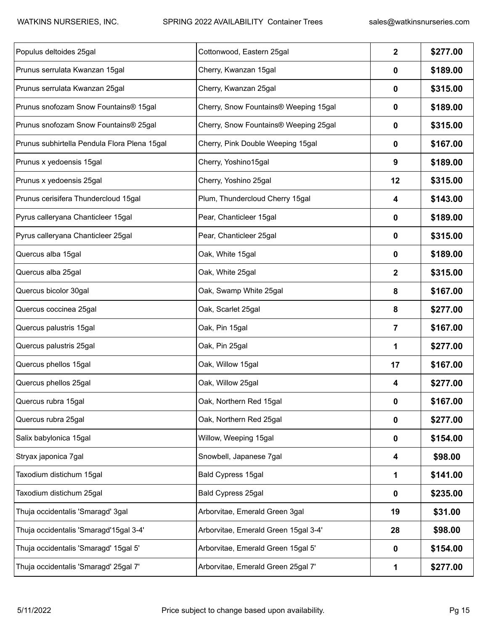| Populus deltoides 25gal                      | Cottonwood, Eastern 25gal             | $\overline{\mathbf{2}}$ | \$277.00 |
|----------------------------------------------|---------------------------------------|-------------------------|----------|
| Prunus serrulata Kwanzan 15gal               | Cherry, Kwanzan 15gal                 | 0                       | \$189.00 |
| Prunus serrulata Kwanzan 25gal               | Cherry, Kwanzan 25gal                 | 0                       | \$315.00 |
| Prunus snofozam Snow Fountains® 15gal        | Cherry, Snow Fountains® Weeping 15gal | 0                       | \$189.00 |
| Prunus snofozam Snow Fountains® 25gal        | Cherry, Snow Fountains® Weeping 25gal | 0                       | \$315.00 |
| Prunus subhirtella Pendula Flora Plena 15gal | Cherry, Pink Double Weeping 15gal     | 0                       | \$167.00 |
| Prunus x yedoensis 15gal                     | Cherry, Yoshino15gal                  | 9                       | \$189.00 |
| Prunus x yedoensis 25gal                     | Cherry, Yoshino 25gal                 | 12                      | \$315.00 |
| Prunus cerisifera Thundercloud 15gal         | Plum, Thundercloud Cherry 15gal       | 4                       | \$143.00 |
| Pyrus calleryana Chanticleer 15gal           | Pear, Chanticleer 15gal               | 0                       | \$189.00 |
| Pyrus calleryana Chanticleer 25gal           | Pear, Chanticleer 25gal               | 0                       | \$315.00 |
| Quercus alba 15gal                           | Oak, White 15gal                      | 0                       | \$189.00 |
| Quercus alba 25gal                           | Oak, White 25gal                      | 2                       | \$315.00 |
| Quercus bicolor 30gal                        | Oak, Swamp White 25gal                | 8                       | \$167.00 |
| Quercus coccinea 25gal                       | Oak, Scarlet 25gal                    | 8                       | \$277.00 |
| Quercus palustris 15gal                      | Oak, Pin 15gal                        | 7                       | \$167.00 |
| Quercus palustris 25gal                      | Oak, Pin 25gal                        | 1                       | \$277.00 |
| Quercus phellos 15gal                        | Oak, Willow 15gal                     | 17                      | \$167.00 |
| Quercus phellos 25gal                        | Oak, Willow 25gal                     | 4                       | \$277.00 |
| Quercus rubra 15gal                          | Oak, Northern Red 15gal               | 0                       | \$167.00 |
| Quercus rubra 25gal                          | Oak, Northern Red 25gal               | $\mathbf 0$             | \$277.00 |
| Salix babylonica 15gal                       | Willow, Weeping 15gal                 | $\mathbf 0$             | \$154.00 |
| Stryax japonica 7gal                         | Snowbell, Japanese 7gal               | 4                       | \$98.00  |
| Taxodium distichum 15gal                     | Bald Cypress 15gal                    | 1                       | \$141.00 |
| Taxodium distichum 25gal                     | Bald Cypress 25gal                    | 0                       | \$235.00 |
| Thuja occidentalis 'Smaragd' 3gal            | Arborvitae, Emerald Green 3gal        | 19                      | \$31.00  |
| Thuja occidentalis 'Smaragd'15gal 3-4'       | Arborvitae, Emerald Green 15gal 3-4'  | 28                      | \$98.00  |
| Thuja occidentalis 'Smaragd' 15gal 5'        | Arborvitae, Emerald Green 15gal 5'    | $\mathbf 0$             | \$154.00 |
| Thuja occidentalis 'Smaragd' 25gal 7'        | Arborvitae, Emerald Green 25gal 7'    | 1                       | \$277.00 |